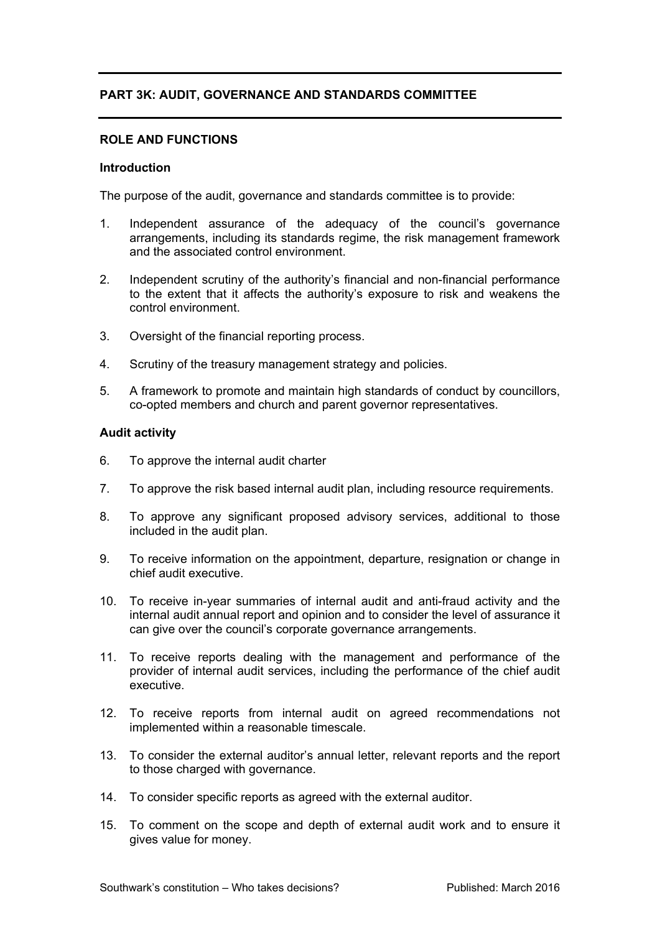# **PART 3K: AUDIT, GOVERNANCE AND STANDARDS COMMITTEE**

### **ROLE AND FUNCTIONS**

### **Introduction**

The purpose of the audit, governance and standards committee is to provide:

- 1. Independent assurance of the adequacy of the council's governance arrangements, including its standards regime, the risk management framework and the associated control environment.
- 2. Independent scrutiny of the authority's financial and non-financial performance to the extent that it affects the authority's exposure to risk and weakens the control environment.
- 3. Oversight of the financial reporting process.
- 4. Scrutiny of the treasury management strategy and policies.
- 5. A framework to promote and maintain high standards of conduct by councillors, co-opted members and church and parent governor representatives.

### **Audit activity**

- 6. To approve the internal audit charter
- 7. To approve the risk based internal audit plan, including resource requirements.
- 8. To approve any significant proposed advisory services, additional to those included in the audit plan.
- 9. To receive information on the appointment, departure, resignation or change in chief audit executive.
- 10. To receive in-year summaries of internal audit and anti-fraud activity and the internal audit annual report and opinion and to consider the level of assurance it can give over the council's corporate governance arrangements.
- 11. To receive reports dealing with the management and performance of the provider of internal audit services, including the performance of the chief audit executive.
- 12. To receive reports from internal audit on agreed recommendations not implemented within a reasonable timescale.
- 13. To consider the external auditor's annual letter, relevant reports and the report to those charged with governance.
- 14. To consider specific reports as agreed with the external auditor.
- 15. To comment on the scope and depth of external audit work and to ensure it gives value for money.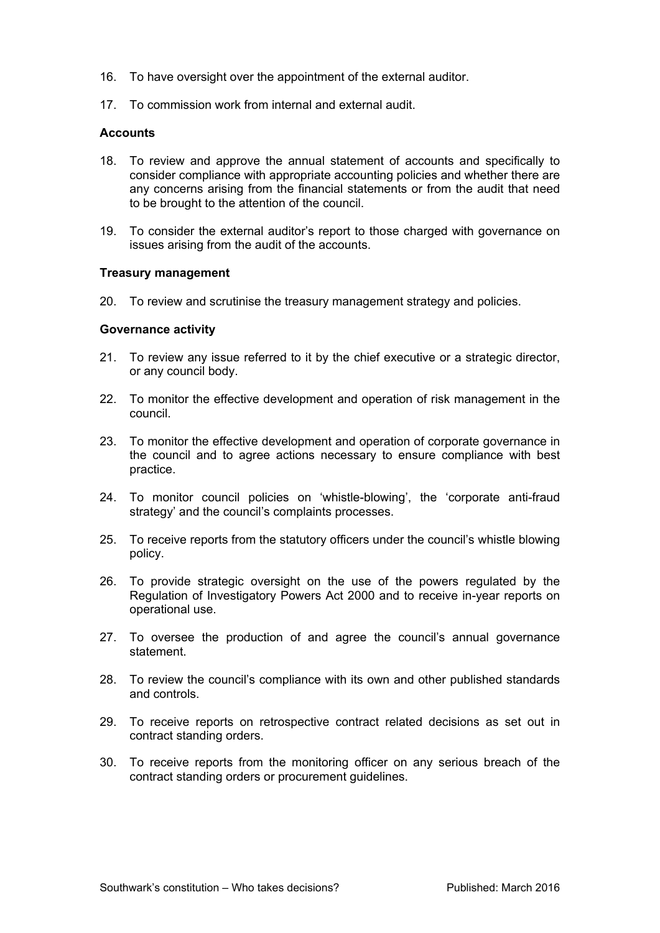- 16. To have oversight over the appointment of the external auditor.
- 17. To commission work from internal and external audit.

## **Accounts**

- 18. To review and approve the annual statement of accounts and specifically to consider compliance with appropriate accounting policies and whether there are any concerns arising from the financial statements or from the audit that need to be brought to the attention of the council.
- 19. To consider the external auditor's report to those charged with governance on issues arising from the audit of the accounts.

### **Treasury management**

20. To review and scrutinise the treasury management strategy and policies.

### **Governance activity**

- 21. To review any issue referred to it by the chief executive or a strategic director, or any council body.
- 22. To monitor the effective development and operation of risk management in the council.
- 23. To monitor the effective development and operation of corporate governance in the council and to agree actions necessary to ensure compliance with best practice.
- 24. To monitor council policies on 'whistle-blowing', the 'corporate anti-fraud strategy' and the council's complaints processes.
- 25. To receive reports from the statutory officers under the council's whistle blowing policy.
- 26. To provide strategic oversight on the use of the powers regulated by the Regulation of Investigatory Powers Act 2000 and to receive in-year reports on operational use.
- 27. To oversee the production of and agree the council's annual governance statement.
- 28. To review the council's compliance with its own and other published standards and controls.
- 29. To receive reports on retrospective contract related decisions as set out in contract standing orders.
- 30. To receive reports from the monitoring officer on any serious breach of the contract standing orders or procurement guidelines.